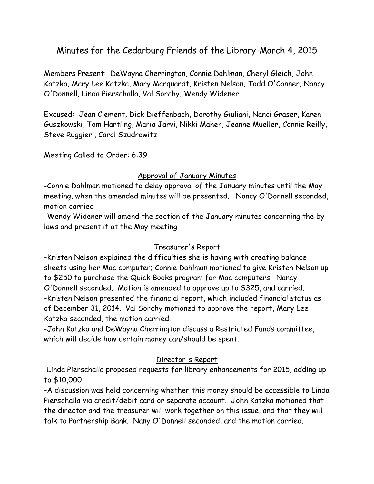# Minutes for the Cedarburg Friends of the Library-March 4, 2015

Members Present: DeWayna Cherrington, Connie Dahlman, Cheryl Gleich, John Katzka, Mary Lee Katzka, Mary Marquardt, Kristen Nelson, Todd O'Conner, Nancy O'Donnell, Linda Pierschalla, Val Sorchy, Wendy Widener

Excused: Jean Clement, Dick Dieffenbach, Dorothy Giuliani, Nanci Graser, Karen Guszkowski, Tom Hartling, Maria Jarvi, Nikki Maher, Jeanne Mueller, Connie Reilly, Steve Ruggieri, Carol Szudrowitz

Meeting Called to Order: 6:39

## Approval of January Minutes

-Connie Dahlman motioned to delay approval of the January minutes until the May meeting, when the amended minutes will be presented. Nancy O'Donnell seconded, motion carried

-Wendy Widener will amend the section of the January minutes concerning the bylaws and present it at the May meeting

## Treasurer's Report

-Kristen Nelson explained the difficulties she is having with creating balance sheets using her Mac computer; Connie Dahlman motioned to give Kristen Nelson up to \$250 to purchase the Quick Books program for Mac computers. Nancy O'Donnell seconded. Motion is amended to approve up to \$325, and carried. -Kristen Nelson presented the financial report, which included financial status as of December 31, 2014. Val Sorchy motioned to approve the report, Mary Lee Katzka seconded, the motion carried.

-John Katzka and DeWayna Cherrington discuss a Restricted Funds committee, which will decide how certain money can/should be spent.

## Director's Report

-Linda Pierschalla proposed requests for library enhancements for 2015, adding up to \$10,000

-A discussion was held concerning whether this money should be accessible to Linda Pierschalla via credit/debit card or separate account. John Katzka motioned that the director and the treasurer will work together on this issue, and that they will talk to Partnership Bank. Nany O'Donnell seconded, and the motion carried.